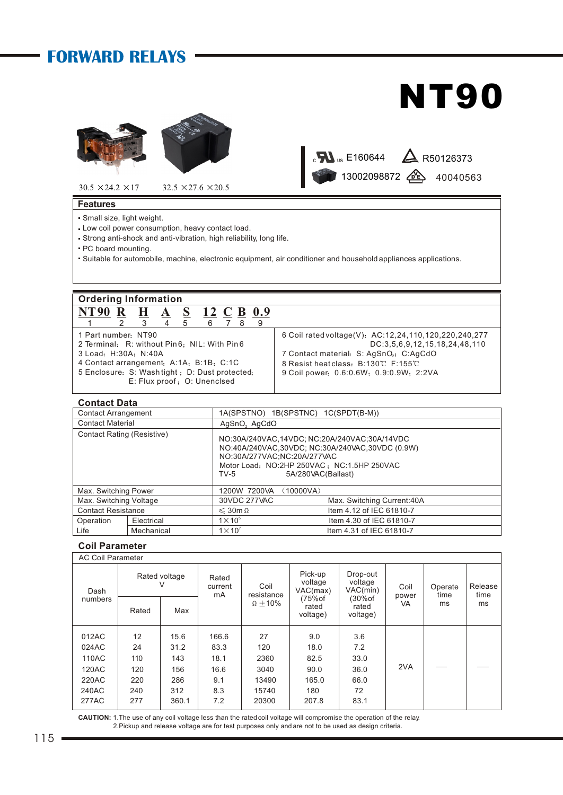## **FORWARD RELAYS**

# **NT90**

13002098872 26 40040563

 $_{\rm c}$  M  $_{\rm us}$  E160644  $\quad$  R50126373





 $30.5 \times 24.2 \times 17$   $32.5 \times 27.6 \times 20.5$ 

### **Features**

- Small size, light weight.
- Low coil power consumption, heavy contact load.
- Strong anti-shock and anti-vibration, high reliability, long life.
- PC board mounting.
- Suitable for automobile, machine, electronic equipment, air conditioner and household appliances applications.

### **Ordering Information NT90 R H A S 12 C B 0.9**

|                                                | 2 3 |  |  | .5 | 6789 |  |  |                                                       |
|------------------------------------------------|-----|--|--|----|------|--|--|-------------------------------------------------------|
| 1 Part number: NT90                            |     |  |  |    |      |  |  | 6 Coil rated voltage(V): AC:12,24,110,120,220,240,277 |
| 2 Terminal: R: without Pin6; NIL: With Pin6    |     |  |  |    |      |  |  | DC:3,5,6,9,12,15,18,24,48,110                         |
| 3 Load: H:30A: N:40A                           |     |  |  |    |      |  |  | 7 Contact material: S: AgSnO <sub>2</sub> ; C:AgCdO   |
| 4 Contact arrangement: A:1A; B:1B; C:1C        |     |  |  |    |      |  |  | 8 Resist heat class: B:130°C F:155°C                  |
| 5 Enclosure: S: Washtight ; D: Dust protected; |     |  |  |    |      |  |  | 9 Coil power: 0.6.0.6W; 0.9.0.9W; 2:2VA               |
| E: Flux proof: O: Unenclsed                    |     |  |  |    |      |  |  |                                                       |
|                                                |     |  |  |    |      |  |  |                                                       |

### **Contact Data**

| <b>Contact Arrangement</b>        |            |                          | 1A(SPSTNO) 1B(SPSTNC) 1C(SPDT(B-M))                                                                                                                                                                |  |  |  |  |
|-----------------------------------|------------|--------------------------|----------------------------------------------------------------------------------------------------------------------------------------------------------------------------------------------------|--|--|--|--|
| <b>Contact Material</b>           |            | AgSnO <sub>2</sub> AgCdO |                                                                                                                                                                                                    |  |  |  |  |
| <b>Contact Rating (Resistive)</b> |            | $TV-5$                   | NO:30A/240VAC.14VDC: NC:20A/240VAC:30A/14VDC<br>NO:40A/240VAC,30VDC; NC:30A/240VAC,30VDC (0.9W)<br>NO:30A/277VAC;NC:20A/277VAC<br>Motor Load: NO:2HP 250VAC: NC:1.5HP 250VAC<br>5A/280VAC(Ballast) |  |  |  |  |
| Max. Switching Power              |            | 1200W 7200VA             | (10000VA)                                                                                                                                                                                          |  |  |  |  |
| Max. Switching Voltage            |            | 30VDC 277VAC             | Max. Switching Current: 40A                                                                                                                                                                        |  |  |  |  |
| <b>Contact Resistance</b>         |            | $\leqslant$ 30m $\Omega$ | Item 4.12 of IEC 61810-7                                                                                                                                                                           |  |  |  |  |
| Operation                         | Electrical | $1\times 10^{5}$         | Item 4.30 of IEC 61810-7                                                                                                                                                                           |  |  |  |  |
| Life                              | Mechanical | $1 \times 10^{7}$        | Item 4.31 of IEC 61810-7                                                                                                                                                                           |  |  |  |  |

### **Coil Parameter**

### Release time ms AC Coil Parameter Dash numbers Rated voltage<br>V V current Coil resistance  $\Omega \pm 10\%$ Pick-up voltage VAC(max) (75%of rated voltage) Drop-out voltage VAC(min) (30%of rated voltage) Coil power VA Operate time ms Rated | Max 2VA Rated mA 012AC | 12 | 15.6 | 166.6 | 27 | 9.0 | 3.6 024AC | 24 | 31.2 | 83.3 | 120 | 18.0 | 7.2 110AC | 110 | 143 | 18.1 | 2360 | 82.5 | 33.0 120AC 240AC 120 240 156 312 3040 15740 90.0 180 36.0 72 220AC 277AC 220 277 286 360.1 13490 20300 165.0 207.8 66.0 83.1 166.6 83.3 18.1 16.6 8.3 9.1 7.2

**CAUTION:** 1.The use of any coil voltage less than the rated coil voltage will compromise the operation of the relay. 2.Pickup and release voltage are for test purposes only and are not to be used as design criteria.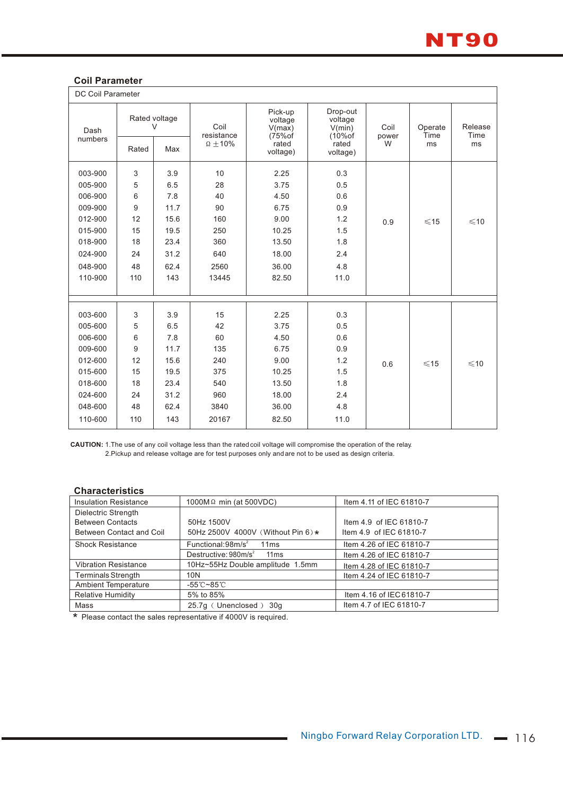

### **Coil Parameter**

| <b>DC Coil Parameter</b> |       |                         |                                         |                                                                |                                                                 |                    |                       |                       |
|--------------------------|-------|-------------------------|-----------------------------------------|----------------------------------------------------------------|-----------------------------------------------------------------|--------------------|-----------------------|-----------------------|
| Dash<br>numbers          |       | Rated voltage<br>$\vee$ | Coil<br>resistance<br>$\Omega \pm 10\%$ | Pick-up<br>voltage<br>V(max)<br>$(75%$ of<br>rated<br>voltage) | Drop-out<br>voltage<br>V(min)<br>$(10%$ of<br>rated<br>voltage) | Coil<br>power<br>W | Operate<br>Time<br>ms | Release<br>Time<br>ms |
|                          | Rated | Max                     |                                         |                                                                |                                                                 |                    |                       |                       |
| 003-900                  | 3     | 3.9                     | 10                                      | 2.25                                                           | 0.3                                                             |                    |                       |                       |
| 005-900                  | 5     | 6.5                     | 28                                      | 3.75                                                           | 0.5                                                             |                    |                       |                       |
| 006-900                  | 6     | 7.8                     | 40                                      | 4.50                                                           | 0.6                                                             |                    |                       |                       |
| 009-900                  | 9     | 11.7                    | 90                                      | 6.75                                                           | 0.9                                                             |                    |                       |                       |
| 012-900                  | 12    | 15.6                    | 160                                     | 9.00                                                           | 1.2                                                             | 0.9                | $\leq 15$             | $\leq 10$             |
| 015-900                  | 15    | 19.5                    | 250                                     | 10.25                                                          | 1.5                                                             |                    |                       |                       |
| 018-900                  | 18    | 23.4                    | 360                                     | 13.50                                                          | 1.8                                                             |                    |                       |                       |
| 024-900                  | 24    | 31.2                    | 640                                     | 18.00                                                          | 2.4                                                             |                    |                       |                       |
| 048-900                  | 48    | 62.4                    | 2560                                    | 36.00                                                          | 4.8                                                             |                    |                       |                       |
| 110-900                  | 110   | 143                     | 13445                                   | 82.50                                                          | 11.0                                                            |                    |                       |                       |
|                          |       |                         |                                         |                                                                |                                                                 |                    |                       |                       |
|                          |       |                         |                                         |                                                                |                                                                 |                    |                       |                       |
| 003-600                  | 3     | 3.9                     | 15                                      | 2.25                                                           | 0.3                                                             |                    |                       |                       |
| 005-600                  | 5     | 6.5                     | 42                                      | 3.75                                                           | 0.5                                                             |                    |                       |                       |
| 006-600                  | 6     | 7.8                     | 60                                      | 4.50                                                           | 0.6                                                             |                    |                       |                       |
| 009-600                  | 9     | 11.7                    | 135                                     | 6.75                                                           | 0.9                                                             |                    |                       |                       |
| 012-600                  | 12    | 15.6                    | 240                                     | 9.00                                                           | 1.2                                                             | 0.6                | $≤15$                 | $\leq 10$             |
| 015-600                  | 15    | 19.5                    | 375                                     | 10.25                                                          | 1.5                                                             |                    |                       |                       |
| 018-600                  | 18    | 23.4                    | 540                                     | 13.50                                                          | 1.8                                                             |                    |                       |                       |
| 024-600                  | 24    | 31.2                    | 960                                     | 18.00                                                          | 2.4                                                             |                    |                       |                       |
| 048-600                  | 48    | 62.4                    | 3840                                    | 36.00                                                          | 4.8                                                             |                    |                       |                       |
| 110-600                  | 110   | 143                     | 20167                                   | 82.50                                                          | 11.0                                                            |                    |                       |                       |
|                          |       |                         |                                         |                                                                |                                                                 |                    |                       |                       |

**CAUTION:** 1.The use of any coil voltage less than the rated coil voltage will compromise the operation of the relay. 2.Pickup and release voltage are for test purposes only and are not to be used as design criteria.

### **Characteristics**

| <b>Insulation Resistance</b> | 1000M $\Omega$ min (at 500VDC)        | Item 4.11 of IEC 61810-7 |
|------------------------------|---------------------------------------|--------------------------|
| Dielectric Strength          |                                       |                          |
| <b>Between Contacts</b>      | 50Hz 1500V                            | Item 4.9 of IEC 61810-7  |
| Between Contact and Coil     | 50Hz 2500V 4000V (Without Pin 6) *    | Item 4.9 of IEC 61810-7  |
| <b>Shock Resistance</b>      | Functional:98m/s <sup>2</sup><br>11ms | Item 4.26 of IEC 61810-7 |
|                              | Destructive: $980m/s^2$<br>11ms       | Item 4.26 of IEC 61810-7 |
| <b>Vibration Resistance</b>  | 10Hz~55Hz Double amplitude 1.5mm      | Item 4.28 of IEC 61810-7 |
| <b>Terminals Strength</b>    | 10N                                   | Item 4.24 of IEC 61810-7 |
| <b>Ambient Temperature</b>   | -55℃~85℃                              |                          |
| <b>Relative Humidity</b>     | 5% to 85%                             | Item 4.16 of IEC 61810-7 |
| Mass                         | 25.7g (Unenclosed) 30g                | Item 4.7 of IEC 61810-7  |

\* Please contact the sales representative if 4000V is required.